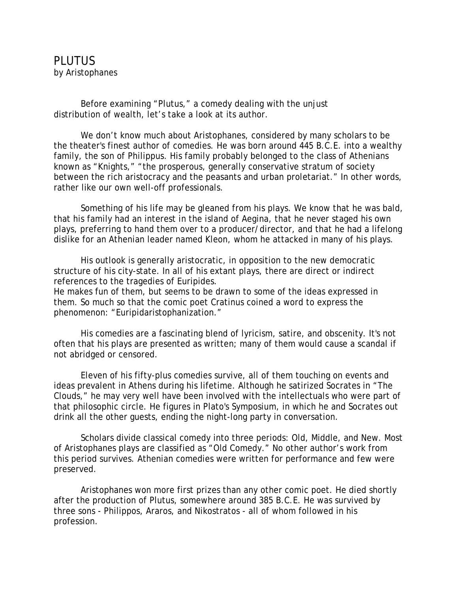## PLUTUS by Aristophanes

 Before examining "Plutus," a comedy dealing with the unjust distribution of wealth, let's take a look at its author.

We don't know much about Aristophanes, considered by many scholars to be the theater's finest author of comedies. He was born around 445 B.C.E. into a wealthy family, the son of Philippus. His family probably belonged to the class of Athenians known as "Knights," "the prosperous, generally conservative stratum of society between the rich aristocracy and the peasants and urban proletariat." In other words, rather like our own well-off professionals.

 Something of his life may be gleaned from his plays. We know that he was bald, that his family had an interest in the island of Aegina, that he never staged his own plays, preferring to hand them over to a producer/director, and that he had a lifelong dislike for an Athenian leader named Kleon, whom he attacked in many of his plays.

 His outlook is generally aristocratic, in opposition to the new democratic structure of his city-state. In all of his extant plays, there are direct or indirect references to the tragedies of Euripides.

He makes fun of them, but seems to be drawn to some of the ideas expressed in them. So much so that the comic poet Cratinus coined a word to express the phenomenon: "Euripidaristophanization."

 His comedies are a fascinating blend of lyricism, satire, and obscenity. It's not often that his plays are presented as written; many of them would cause a scandal if not abridged or censored.

 Eleven of his fifty-plus comedies survive, all of them touching on events and ideas prevalent in Athens during his lifetime. Although he satirized Socrates in "The Clouds," he may very well have been involved with the intellectuals who were part of that philosophic circle. He figures in Plato's Symposium, in which he and Socrates out drink all the other guests, ending the night-long party in conversation.

 Scholars divide classical comedy into three periods: Old, Middle, and New. Most of Aristophanes plays are classified as "Old Comedy." No other author's work from this period survives. Athenian comedies were written for performance and few were preserved.

 Aristophanes won more first prizes than any other comic poet. He died shortly after the production of Plutus, somewhere around 385 B.C.E. He was survived by three sons - Philippos, Araros, and Nikostratos - all of whom followed in his profession.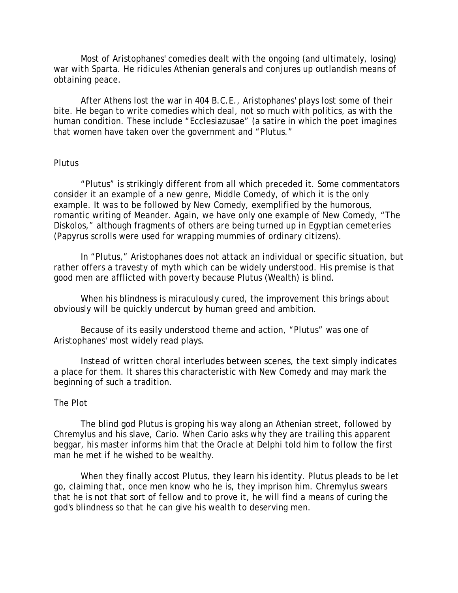Most of Aristophanes' comedies dealt with the ongoing (and ultimately, losing) war with Sparta. He ridicules Athenian generals and conjures up outlandish means of obtaining peace.

 After Athens lost the war in 404 B.C.E., Aristophanes' plays lost some of their bite. He began to write comedies which deal, not so much with politics, as with the human condition. These include "Ecclesiazusae" (a satire in which the poet imagines that women have taken over the government and "Plutus."

## **Plutus**

 "Plutus" is strikingly different from all which preceded it. Some commentators consider it an example of a new genre, Middle Comedy, of which it is the only example. It was to be followed by New Comedy, exemplified by the humorous, romantic writing of Meander. Again, we have only one example of New Comedy, "The Diskolos," although fragments of others are being turned up in Egyptian cemeteries (Papyrus scrolls were used for wrapping mummies of ordinary citizens).

 In "Plutus," Aristophanes does not attack an individual or specific situation, but rather offers a travesty of myth which can be widely understood. His premise is that good men are afflicted with poverty because Plutus (Wealth) is blind.

 When his blindness is miraculously cured, the improvement this brings about obviously will be quickly undercut by human greed and ambition.

 Because of its easily understood theme and action, "Plutus" was one of Aristophanes' most widely read plays.

 Instead of written choral interludes between scenes, the text simply indicates a place for them. It shares this characteristic with New Comedy and may mark the beginning of such a tradition.

## The Plot

 The blind god Plutus is groping his way along an Athenian street, followed by Chremylus and his slave, Cario. When Cario asks why they are trailing this apparent beggar, his master informs him that the Oracle at Delphi told him to follow the first man he met if he wished to be wealthy.

 When they finally accost Plutus, they learn his identity. Plutus pleads to be let go, claiming that, once men know who he is, they imprison him. Chremylus swears that he is not that sort of fellow and to prove it, he will find a means of curing the god's blindness so that he can give his wealth to deserving men.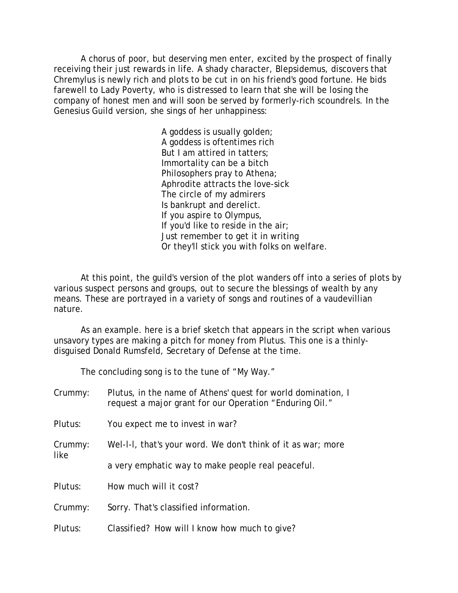A chorus of poor, but deserving men enter, excited by the prospect of finally receiving their just rewards in life. A shady character, Blepsidemus, discovers that Chremylus is newly rich and plots to be cut in on his friend's good fortune. He bids farewell to Lady Poverty, who is distressed to learn that she will be losing the company of honest men and will soon be served by formerly-rich scoundrels. In the Genesius Guild version, she sings of her unhappiness:

> A goddess is usually golden; A goddess is oftentimes rich But I am attired in tatters; Immortality can be a bitch Philosophers pray to Athena; Aphrodite attracts the love-sick The circle of my admirers Is bankrupt and derelict. If you aspire to Olympus, If you'd like to reside in the air; Just remember to get it in writing Or they'll stick you with folks on welfare.

 At this point, the guild's version of the plot wanders off into a series of plots by various suspect persons and groups, out to secure the blessings of wealth by any means. These are portrayed in a variety of songs and routines of a vaudevillian nature.

 As an example. here is a brief sketch that appears in the script when various unsavory types are making a pitch for money from Plutus. This one is a thinlydisguised Donald Rumsfeld, Secretary of Defense at the time.

The concluding song is to the tune of "My Way."

| Crummy:         | Plutus, in the name of Athens' quest for world domination, I<br>request a major grant for our Operation "Enduring Oil." |
|-----------------|-------------------------------------------------------------------------------------------------------------------------|
| Plutus:         | You expect me to invest in war?                                                                                         |
| Crummy:<br>like | Wel-I-I, that's your word. We don't think of it as war; more                                                            |
|                 | a very emphatic way to make people real peaceful.                                                                       |
| Plutus:         | How much will it cost?                                                                                                  |
| Crummy:         | Sorry. That's classified information.                                                                                   |
| Plutus:         | Classified? How will I know how much to give?                                                                           |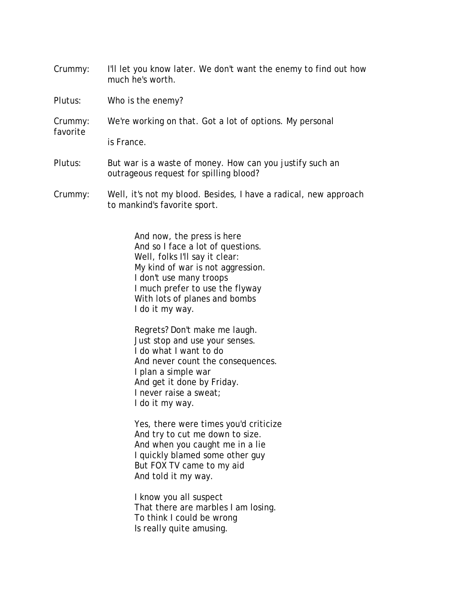Crummy: I'll let you know later. We don't want the enemy to find out how much he's worth.

Plutus: Who is the enemy?

Crummy: We're working on that. Got a lot of options. My personal favorite is France.

- Plutus: But war is a waste of money. How can you justify such an outrageous request for spilling blood?
- Crummy: Well, it's not my blood. Besides, I have a radical, new approach to mankind's favorite sport.

 And now, the press is here And so I face a lot of questions. Well, folks I'll say it clear: My kind of war is not aggression. I don't use many troops I much prefer to use the flyway With lots of planes and bombs I do it my way.

 Regrets? Don't make me laugh. Just stop and use your senses. I do what I want to do And never count the consequences. I plan a simple war And get it done by Friday. I never raise a sweat; I do it my way.

 Yes, there were times you'd criticize And try to cut me down to size. And when you caught me in a lie I quickly blamed some other guy But FOX TV came to my aid And told it my way.

 I know you all suspect That there are marbles I am losing. To think I could be wrong Is really quite amusing.